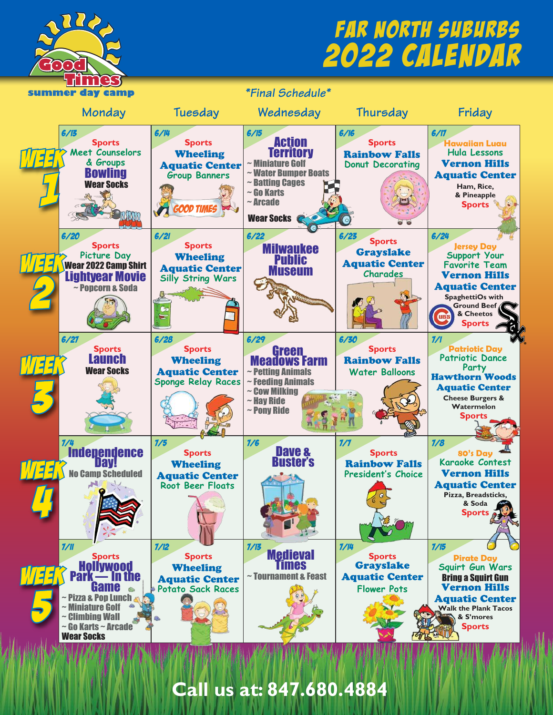

## 2022 Calendar Far North Suburbs



**Call us at: 847.680.4884**